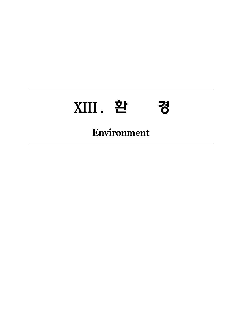# XIII. 환 경

# **Environment**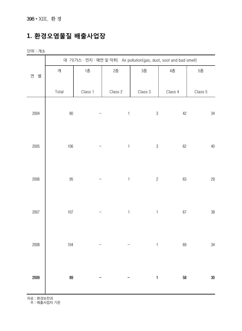## **1. 환경오염물질 배출사업장**

단위 : 개소

|        |         |         |                | 대 기(가스 · 먼지 · 매연 및 악취) Air pollution(gas, dust, soot and bad smell) |         |                |
|--------|---------|---------|----------------|---------------------------------------------------------------------|---------|----------------|
| 별<br>연 | 계       | 1종      | $2\tilde{\in}$ | $35 =$                                                              | 4종      | 5 <sup>2</sup> |
|        | Total   | Class 1 | Class 2        | Class 3                                                             | Class 4 | Class 5        |
| 2004   | $80\,$  |         | $\mathbf{1}$   | $\sqrt{3}$                                                          | $42\,$  | 34             |
| 2005   | $106\,$ |         | $\mathbf{1}$   | $\sqrt{3}$                                                          | $62\,$  | $40\,$         |
| 2006   | $95\,$  |         | $\mathbf{1}$   | $\sqrt{2}$                                                          | $63\,$  | $29\,$         |
| 2007   | $107$   |         | $\mathbf{1}$   | $\mathbf 1$                                                         | $67\,$  | $38\,$         |
| 2008   | $104$   |         |                | $\mathbb{1}$                                                        | $69\,$  | 34             |
| 2009   | 89      |         |                | $\mathbf{1}$                                                        | 58      | $30\,$         |

자료 : 환경보전과

주 : 배출사업자 기준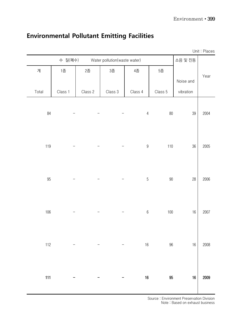|       |         |         |                              |                  |         |           | Unit: Places |
|-------|---------|---------|------------------------------|------------------|---------|-----------|--------------|
|       | 수 질(폐수) |         | Water pollution(waste water) |                  |         | 소음 및 진동   |              |
| 계     | 1종      | 2종      | $35 =$                       | 4종               | 55      |           |              |
|       |         |         |                              |                  |         | Noise and | Year         |
| Total | Class 1 | Class 2 | Class 3                      | Class 4          | Class 5 | vibration |              |
| 84    |         |         |                              | $\overline{4}$   | 80      | 39        | 2004         |
|       |         |         |                              |                  |         |           |              |
|       |         |         |                              |                  |         |           |              |
| 119   |         |         |                              | $\boldsymbol{9}$ | $110$   | 36        | 2005         |
|       |         |         |                              |                  |         |           |              |
| 95    |         |         |                              | $\sqrt{5}$       | $90\,$  | 28        | 2006         |
|       |         |         |                              |                  |         |           |              |
|       |         |         |                              |                  |         |           |              |
| 106   |         |         |                              | $\boldsymbol{6}$ | $100\,$ | 16        | 2007         |
|       |         |         |                              |                  |         |           |              |
| $112$ |         |         |                              | $16\,$           | $96\,$  | 16        | 2008         |
|       |         |         |                              |                  |         |           |              |
|       |         |         |                              |                  |         |           |              |
| $111$ |         |         |                              | $16\,$           | $95\,$  | $16\,$    | 2009         |
|       |         |         |                              |                  |         |           |              |

## **Environmental Pollutant Emitting Facilities**

Source : Environment Preservation Division Note : Based on exhaust business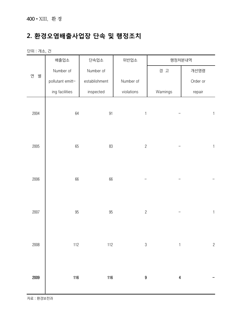## **2. 환경오염배출사업장 단속 및 행정조치**

단위 : 개소, 건

|        | 배출업소             | 단속업소          | 위반업소             | 행정처분내역                  |                |
|--------|------------------|---------------|------------------|-------------------------|----------------|
|        | Number of        | Number of     |                  | 경 고                     | 개선명령           |
| 연<br>별 | pollutant emitt- | establishment | Number of        |                         | Order or       |
|        | ing facilities   | inspected     | violations       | Warnings                | repair         |
| 2004   | 64               | 91            | $\mathbf{1}$     |                         | $\mathbf 1$    |
| 2005   | 65               | 83            | $\overline{c}$   |                         | $\mathbf{1}$   |
| 2006   | 66               | 66            |                  |                         |                |
| 2007   | 95               | $95\,$        | $\mathbf{2}$     |                         | $\mathbf{1}$   |
| 2008   | 112              | 112           | $\sqrt{3}$       | $\mathbf{1}$            | $\overline{c}$ |
| 2009   | $116$            | $116$         | $\boldsymbol{9}$ | $\overline{\mathbf{4}}$ |                |

자료 : 환경보전과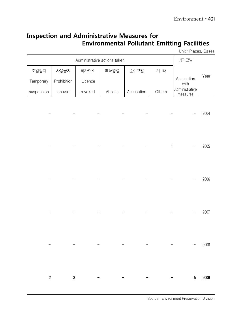#### **Inspection and Administrative Measures for Environmental Pollutant Emitting Facilities**

Unit : Places, Cases

|                  |             | Administrative actions taken |         |            |             | 병과고발                       |      |
|------------------|-------------|------------------------------|---------|------------|-------------|----------------------------|------|
| 조업정지             | 사용금지        | 허가취소                         | 폐쇄명령    | 순수고발       | 기 타         |                            |      |
| Temporary        | Prohibition | Licence                      |         |            |             | Accusation<br>with         | Year |
| suspension       | on use      | revoked                      | Abolish | Accusation | Others      | Administrative<br>measures |      |
|                  |             |                              |         |            |             |                            | 2004 |
|                  |             |                              |         |            | $\mathbf 1$ |                            | 2005 |
|                  |             |                              |         |            |             |                            | 2006 |
| $\mathbf{1}$     |             |                              |         |            |             |                            | 2007 |
|                  |             |                              |         |            |             |                            | 2008 |
| $\boldsymbol{2}$ | $\bf 3$     |                              |         |            |             | 5                          | 2009 |

Source : Environment Preservation Division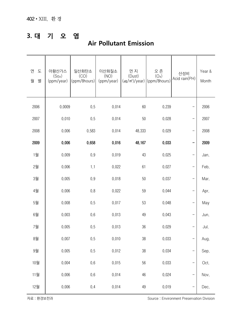## **3. 대 기 오 염**

### **Air Pollutant Emission**

| 연<br>도<br>월<br>별 | 아황산가스<br>(So <sub>2</sub> )<br>(ppm/year) | 일산화탄소<br>(CO)<br>(ppm/8hours) | 이산화질소<br>(NO)<br>(ppm/year) | 먼 지<br>(Dust)<br>$(\mu g/m^3)/year$ | 오존<br>$(O_3)$<br>(ppm/8hours) | 산성비<br>Acid rain(PH) | Year &<br>Month |
|------------------|-------------------------------------------|-------------------------------|-----------------------------|-------------------------------------|-------------------------------|----------------------|-----------------|
| 2006             | 0.0009                                    | 0.5                           | 0.014                       | 60                                  | 0.239                         | $\qquad \qquad -$    | 2006            |
| 2007             | 0.010                                     | 0.5                           | 0.014                       | 50                                  | 0.028                         | $\qquad \qquad -$    | 2007            |
| 2008             | 0.006                                     | 0.583                         | 0.014                       | 48.333                              | 0.029                         | —                    | 2008            |
| 2009             | 0.006                                     | 0.658                         | 0.016                       | 48.167                              | 0.033                         | -                    | 2009            |
| 1월               | 0.009                                     | 0.9                           | 0.019                       | 43                                  | 0.025                         | —                    | Jan.            |
| 2월               | 0.006                                     | 1.1                           | 0.022                       | 61                                  | 0.027                         | <sup>-</sup>         | Feb.            |
| 3월               | 0.005                                     | 0.9                           | 0.018                       | 50                                  | 0.037                         | -                    | Mar.            |
| 4월               | 0.006                                     | $0.8\,$                       | 0.022                       | 59                                  | 0.044                         | <sup>-</sup>         | Apr.            |
| 5월               | 0.008                                     | 0.5                           | 0.017                       | 53                                  | 0.048                         | <sup>-</sup>         | May             |
| 6월               | 0.003                                     | 0.6                           | 0.013                       | 49                                  | 0.043                         | <sup>-</sup>         | Jun.            |
| 7월               | 0.005                                     | 0.5                           | 0.013                       | 36                                  | 0.029                         | $\qquad \qquad -$    | Jul.            |
| 8월               | 0.007                                     | 0.5                           | 0.010                       | 38                                  | 0.033                         | —                    | Aug.            |
| 9월               | 0.005                                     | 0.5                           | 0.012                       | 38                                  | 0.034                         | <sup>-</sup>         | Sep.            |
| 10월              | 0.004                                     | 0.6                           | 0.015                       | 56                                  | 0.033                         |                      | Oct.            |
| 11월              | 0.006                                     | $0.6\,$                       | 0.014                       | 46                                  | 0.024                         | —                    | Nov.            |
| 12월              | 0.006                                     | $0.4\,$                       | 0.014                       | 49                                  | 0.019                         | —                    | Dec.            |

자료 : 환경보전과 Source : Environment Preservation Division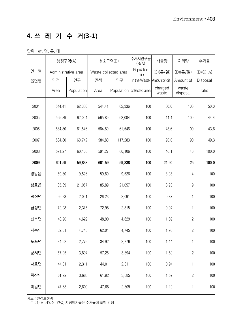### **4. 쓰 레 기 수 거(3-1)**

단위 : ㎢, 명, 톤, 대

|        | 행정구역(A)             |            |        | 청소구역(B)              | 수거지인구율<br>배출량<br>(B/A)      |                  | 처리량               | 수거율         |
|--------|---------------------|------------|--------|----------------------|-----------------------------|------------------|-------------------|-------------|
| 연<br>별 | Administrative area |            |        | Waste collected area | Population<br>ratio         | (C)(톤/일)         | (D)(톤/일)          | $(D/C)(\%)$ |
| 읍면별    | 면적                  | 인구         | 면적     | 인구                   | in the Waste                | Amount of dis-   | Amount of         | Disposal    |
|        | Area                | Population | Area   |                      | Population   collected area | charged<br>waste | waste<br>disposal | ratio       |
| 2004   | 544.41              | 62,336     | 544.41 | 62,336               | 100                         | 50.0             | 100               | 50.0        |
| 2005   | 565.89              | 62,004     | 565.89 | 62,004               | 100                         | 44.4             | 100               | 44.4        |
| 2006   | 584.80              | 61,546     | 584.80 | 61,546               | 100                         | 43.6             | 100               | 43.6        |
| 2007   | 584.80              | 60,742     | 584.80 | 117,283              | 100                         | 90.0             | 90                | 49.3        |
| 2008   | 591.27              | 60,106     | 591.27 | 60,106               | 100                         | 46.1             | 46                | 100.0       |
| 2009   | 601.59              | 59,838     | 601.59 | 59,838               | 100                         | 24.90            | 25                | 100.0       |
| 영암읍    | 59.80               | 9,526      | 59.80  | 9,526                | 100                         | 3.93             | $\overline{4}$    | 100         |
| 삼호읍    | 85.89               | 21,057     | 85.89  | 21,057               | 100                         | 8.93             | $\boldsymbol{9}$  | 100         |
| 덕진면    | 26.23               | 2,091      | 26.23  | 2,091                | 100                         | 0.87             | 1                 | 100         |
| 금정면    | 72.98               | 2,315      | 72.98  | 2,315                | 100                         | 0.94             | 1                 | 100         |
| 신북면    | 48.90               | 4,629      | 48.90  | 4,629                | 100                         | 1.89             | $\overline{c}$    | 100         |
| 시종면    | 62.01               | 4,745      | 62.01  | 4,745                | 100                         | 1.96             | $\overline{c}$    | 100         |
| 도포면    | 34.92               | 2,776      | 34.92  | 2,776                | 100                         | 1.14             | 1                 | 100         |
| 군서면    | 57.25               | 3,894      | 57.25  | 3,894                | 100                         | 1.59             | $\overline{c}$    | 100         |
| 서호면    | 44.01               | 2,311      | 44.01  | 2,311                | 100                         | 0.94             | 1                 | $100$       |
| 학산면    | 61.92               | 3,685      | 61.92  | 3,685                | 100                         | 1.52             | $\overline{c}$    | $100$       |
| 미암면    | 47.68               | 2,809      | 47.68  | 2,809                | 100                         | 1.19             | $\mathbf{1}$      | 100         |

자료 : 환경보전과

주 : 1) ※ 사업장, 건설, 지정폐기물은 수거율에 포함 안됨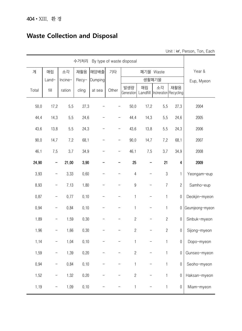## **Waste Collection and Disposal**

Unit : km<sup>2</sup>, Person, Ton, Each

| 계     | 매립                | 소각      | 재활용   | 해양배출    | 기타    |                   | 폐기물 Waste                |                                       |                  | Year &          |
|-------|-------------------|---------|-------|---------|-------|-------------------|--------------------------|---------------------------------------|------------------|-----------------|
|       | Land-             | Incine- | Recy- | Dumping |       |                   | 생활폐기물                    |                                       |                  | Eup, Myeon      |
| Total | fill              | ration  | cling | at sea  | Other | 발생량<br>Generation | 매립                       | 소각<br>Landfill Incineration Recycling | 재활용              |                 |
| 50.0  | 17.2              | 5.5     | 27.3  |         |       | 50.0              | 17.2                     | 5.5                                   | 27.3             | 2004            |
| 44.4  | 14.3              | 5.5     | 24.6  |         |       | 44.4              | 14.3                     | 5.5                                   | 24.6             | 2005            |
| 43.6  | 13.8              | 5.5     | 24.3  |         |       | 43.6              | 13.8                     | 5.5                                   | 24.3             | 2006            |
| 90.0  | 14.7              | 7.2     | 68.1  |         |       | 90.0              | 14.7                     | 7.2                                   | 68.1             | 2007            |
| 46.1  | 7.5               | 3.7     | 34.9  |         |       | 46.1              | 7.5                      | 3.7                                   | 34.9             | 2008            |
| 24.90 | -                 | 21.00   | 3.90  |         |       | 25                |                          | 21                                    | 4                | 2009            |
| 3.93  | $\qquad \qquad -$ | 3.33    | 0.60  |         |       | 4                 | <sup>-</sup>             | $\boldsymbol{3}$                      | 1                | Yeongam-eup     |
| 8.93  | $\qquad \qquad -$ | 7.13    | 1.80  |         |       | $\boldsymbol{9}$  | —                        | $\overline{7}$                        | $\overline{2}$   | Samho-eup       |
| 0.87  | $\qquad \qquad -$ | 0.77    | 0.10  |         |       | $\mathbf{1}$      | $\overline{\phantom{0}}$ | $\mathbf{1}$                          | $\pmb{0}$        | Deokjin-myeon   |
| 0.94  | $\qquad \qquad -$ | 0.84    | 0.10  |         |       | $\mathbf{1}$      | —                        | $\mathbf{1}$                          | $\boldsymbol{0}$ | Geumjeong-myeon |
| 1.89  | <sup>-</sup>      | 1.59    | 0.30  |         |       | $\overline{2}$    | —                        | $\overline{c}$                        | $\boldsymbol{0}$ | Sinbuk-myeon    |
| 1.96  | <sup>-</sup>      | 1.66    | 0.30  |         |       | $\overline{2}$    | $\overline{\phantom{0}}$ | $\overline{c}$                        | $\boldsymbol{0}$ | Sijong-myeon    |
| 1.14  | -                 | 1.04    | 0.10  |         |       | $\mathbf{1}$      | —                        | $\mathbf{1}$                          | $\boldsymbol{0}$ | Dopo-myeon      |
| 1.59  | —                 | 1.39    | 0.20  |         |       | $\overline{c}$    | $\overline{\phantom{0}}$ | $\mathbf{1}$                          | $\boldsymbol{0}$ | Gunseo-myeon    |
| 0.94  |                   | 0.84    | 0.10  |         |       | $\mathbf{1}$      |                          | $\mathbf{1}$                          | $\boldsymbol{0}$ | Seoho-myeon     |
| 1.52  |                   | 1.32    | 0.20  |         |       | $\overline{c}$    |                          | $\mathbf{1}$                          | 0                | Haksan-myeon    |
| 1.19  |                   | 1.09    | 0.10  |         |       | $\mathbf{1}$      |                          | $\mathbf{1}$                          | $\boldsymbol{0}$ | Miam-myeon      |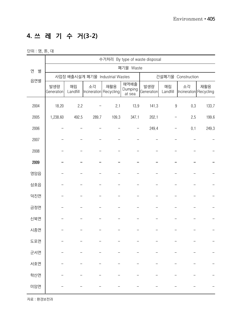## **4. 쓰 레 기 수 거(3-2)**

단위 : 명, 톤, 대

|        |                   | 수거처리 By type of waste disposal |       |                                 |                           |                   |                  |                              |       |  |  |  |
|--------|-------------------|--------------------------------|-------|---------------------------------|---------------------------|-------------------|------------------|------------------------------|-------|--|--|--|
| 연<br>별 |                   | 폐기물 Waste                      |       |                                 |                           |                   |                  |                              |       |  |  |  |
|        |                   |                                |       | 사업장 배출시설계 폐기물 Industrial Wastes |                           |                   |                  | 건설폐기물 Construction           |       |  |  |  |
| 읍면별    | 발생량<br>Generation | 매립<br>Landfill                 | 소각    | 재활용<br>Incineration Recycling   | 해역배출<br>Dumping<br>at sea | 발생량<br>Generation | 매립<br>Landfill   | 소각<br>Incineration Recycling | 재활용   |  |  |  |
| 2004   | 18.20             | 2.2                            |       | 2.1                             | 13.9                      | 141.3             | $\boldsymbol{9}$ | 0.3                          | 133.7 |  |  |  |
| 2005   | 1,238.60          | 492.5                          | 289.7 | 109.3                           | 347.1                     | 202.1             |                  | 2.5                          | 199.6 |  |  |  |
| 2006   |                   |                                |       |                                 |                           | 249.4             |                  | 0.1                          | 249.3 |  |  |  |
| 2007   |                   |                                |       |                                 |                           |                   |                  |                              |       |  |  |  |
| 2008   |                   |                                |       |                                 |                           |                   |                  |                              |       |  |  |  |
| 2009   |                   |                                |       |                                 |                           |                   |                  |                              |       |  |  |  |
| 영암읍    |                   |                                |       |                                 |                           |                   |                  |                              |       |  |  |  |
| 삼호읍    |                   |                                |       |                                 |                           |                   |                  |                              |       |  |  |  |
| 덕진면    |                   |                                |       |                                 |                           |                   |                  |                              |       |  |  |  |
| 금정면    |                   |                                |       |                                 |                           |                   |                  |                              |       |  |  |  |
| 신북면    |                   |                                |       |                                 |                           |                   |                  |                              |       |  |  |  |
| 시종면    |                   |                                |       |                                 |                           |                   |                  |                              |       |  |  |  |
| 도포면    |                   |                                |       |                                 |                           |                   |                  |                              |       |  |  |  |
| 군서면    |                   |                                |       |                                 |                           |                   |                  |                              |       |  |  |  |
| 서호면    |                   |                                |       |                                 |                           |                   |                  |                              |       |  |  |  |
| 학산면    |                   |                                |       |                                 |                           |                   |                  |                              |       |  |  |  |
| 미암면    |                   |                                |       |                                 |                           |                   |                  |                              |       |  |  |  |

자료 : 환경보전과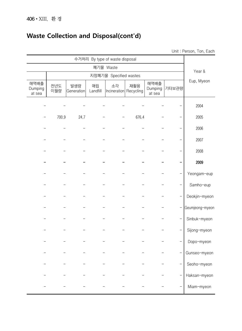#### **Waste Collection and Disposal(cont'd)**

수거처리 By type of waste disposal Year & Eup, Myeon 폐기물 Waste 지정폐기물 Specified wastes 해역배출 Dumping at sea 전년도 이월량 발생량 Generation 매립 Landfill 소각 Incineration Recycling 재활용 해역배출 Dumping 기타보관량 at sea - - - - - - - - 2004  $- 700.9 24.7 -$  676.4  $-$  2005 - - - - - - - - 2006 - - - - - - - - 2007 - - - - - - - - 2008 - - - - - - - - - - - 1 - - - - - Yeongam-eup - - - - - - - - - Samho-eup - - - - - - - - - - - Deokjin-myeon - - - - - Geumjeong-myeon - - - - - - - - - - Sinbuk-myeon - - - - - - - - - - Sijong-myeon - - - - - - - - - Dopo-myeon - - - - - Gunseo-myeon - - - - - - - - - - Seoho-myeon - - - - - - - - - - Haksan-myeon - - - - - - - - - - Miam-myeon

Unit : Person, Ton, Each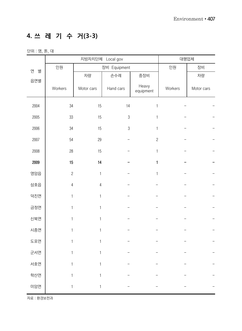## **4. 쓰 레 기 수 거(3-3)**

단위 : 명, 톤, 대

|        |                | 지방자치단체 Local gov |                |                    |         | 대행업체       |
|--------|----------------|------------------|----------------|--------------------|---------|------------|
| 연<br>별 | 인원             |                  | 장비 Equipment   |                    | 인원      | 장비         |
|        |                | 차량               | 손수레            | 중장비                |         | 차량         |
| 읍면별    | Workers        | Motor cars       | Hand cars      | Heavy<br>equipment | Workers | Motor cars |
| 2004   | 34             | 15               | 14             | $\mathbf{1}$       |         |            |
| 2005   | 33             | 15               | $\mathfrak{B}$ | 1                  |         |            |
| 2006   | 34             | 15               | $\mathfrak{B}$ | $\mathbf{1}$       |         |            |
| 2007   | 54             | 29               |                | $\overline{c}$     |         |            |
| 2008   | 28             | $15\,$           |                | $\mathbf{1}$       |         |            |
| 2009   | 15             | 14               |                | $\mathbf{1}$       |         |            |
| 영암읍    | $\overline{c}$ | $\mathbf{1}$     |                | $\mathbf 1$        |         |            |
| 삼호읍    | $\overline{4}$ | $\overline{4}$   |                |                    |         |            |
| 덕진면    | 1              | $\mathbf{1}$     |                |                    |         |            |
| 금정면    | 1              | $\mathbf{1}$     |                |                    |         |            |
| 신북면    | $\mathbf{1}$   | $\mathbf{1}$     |                |                    |         |            |
| 시종면    | $\mathbf{1}$   | $\mathbf{1}$     |                |                    |         |            |
| 도포면    | 1              | 1                |                |                    |         |            |
| 군서면    | 1              | 1                |                |                    |         |            |
| 서호면    |                |                  |                |                    |         |            |
| 학산면    |                | 1                |                |                    |         |            |
| 미암면    | 1              | 1                |                |                    |         |            |

자료 : 환경보전과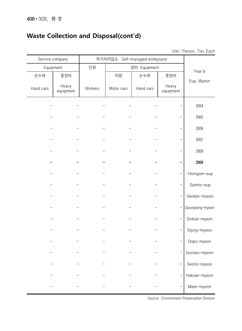## **Waste Collection and Disposal(cont'd)**

Unit : Person, Ton, Each

|           | Service company    |         | 자가처리업소 Self-managed workpsace |              |                    |                 |  |
|-----------|--------------------|---------|-------------------------------|--------------|--------------------|-----------------|--|
|           | Equipment          | 인원      |                               | 장비 Equipment |                    | Year &          |  |
| 손수레       | 중장비                |         | 차량                            | 손수레          | 중장비                |                 |  |
| Hand cars | Heavy<br>equipment | Workers | Motor cars                    | Hand cars    | Heavy<br>equipment | Eup, Myeon      |  |
|           |                    |         |                               |              |                    | 2004            |  |
|           |                    |         |                               |              |                    | 2005            |  |
|           |                    |         |                               |              |                    | 2006            |  |
|           |                    |         |                               |              |                    | 2007            |  |
|           |                    |         |                               |              |                    | 2008            |  |
|           |                    |         |                               |              |                    | 2009            |  |
|           |                    |         |                               |              |                    | Yeongam-eup     |  |
|           |                    |         |                               |              |                    | Samho-eup       |  |
|           |                    |         |                               |              |                    | Deokjin-myeon   |  |
|           |                    |         |                               |              |                    | Geumjeong-myeon |  |
|           |                    |         |                               |              |                    | Sinbuk-myeon    |  |
|           |                    |         |                               |              |                    | Sijong-myeon    |  |
|           |                    |         |                               |              |                    | Dopo-myeon      |  |
|           |                    |         |                               |              |                    | Gunseo-myeon    |  |
|           |                    |         |                               |              |                    | Seoho-myeon     |  |
|           |                    |         |                               |              |                    | Haksan-myeon    |  |
|           |                    |         |                               |              |                    | Miam-myeon      |  |

Source : Environment Preservation Division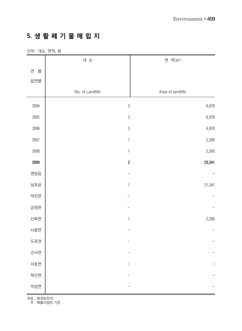## **5. 생 활 폐 기 물 매 립 지**

단위 : 개소, 면적, 량

|        | 개 소              | 면 적(m <sup>3</sup> ) |
|--------|------------------|----------------------|
| 연<br>별 |                  |                      |
| 읍면별    |                  |                      |
|        | No. of Landfills | Area of landfills    |
| 2004   | $\sqrt{3}$       | 6,878                |
| 2005   | $\sqrt{3}$       | 6,878                |
| 2006   | $\sqrt{3}$       | 6,878                |
| 2007   | $\mathbf{1}$     | 2,200                |
| 2008   | $\mathbf{1}$     | 2,200                |
| 2009   | $\boldsymbol{2}$ | 23,541               |
| 영암읍    |                  |                      |
| 삼호읍    | $\mathbf{1}$     | 21,341               |
| 덕진면    |                  |                      |
| 금정면    |                  |                      |
| 신북면    | $\mathbf{1}$     | 2,200                |
| 시종면    |                  |                      |
| 도포면    |                  |                      |
| 군서면    |                  |                      |
| 서호면    |                  |                      |
| 학산면    |                  |                      |
| 미암면    |                  |                      |

자료 : 환경보전과

주 : 배출사업자 기준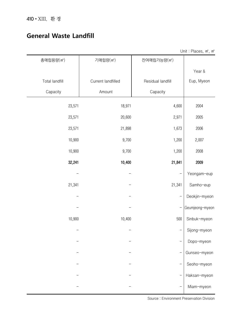#### **General Waste Landfill**

Unit : Places, m<sup>2</sup>, m<sup>3</sup> 총매립용량(㎥) 기매립량(㎥) 잔여매립가능량(㎥) Year & Total landfill **Current landfilled** Residual landfill Eup, Myeon Capacity **Capacity Amount Capacity** 23,571 18,971 18,971 4,600 2004 23,571 20,600 2,971 2005 23,571 21,898 1,673 2006 10,900 9,700 1,200 2,007 10,900 9,700 1,200 2008 32,241 10,400 21,841 2009 - The set of the set of the set of the set of the set of the set of the set of the set of the set of the set of the set of the set of the set of the set of the set of the set of the set of the set of the set of the set of 21,341 - 21,341 Samho-eup - | Deokjin-myeon - Geumjeong-myeon 10,900 10,400 500 Sinbuk-myeon - | Sijong-myeon - | Dopo-myeon  $-$  Gunseo-myeon - | Seoho-myeon  $-$  Haksan-myeon Miam-myeon

Source : Environment Preservation Division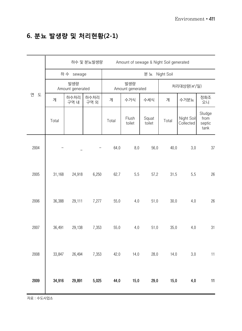## **6. 분뇨 발생량 및 처리현황(2-1)**

|        |                         |              | 하수 및 분뇨발생량   | Amount of sewage & Night Soil generated |                 |                 |       |                         |                                  |  |
|--------|-------------------------|--------------|--------------|-----------------------------------------|-----------------|-----------------|-------|-------------------------|----------------------------------|--|
|        | 하수 sewage               |              |              |                                         |                 | 분 뇨 Night Soil  |       |                         |                                  |  |
|        | 발생량<br>Amount generated |              |              | 발생량<br>Amount generated                 |                 |                 |       | 처리대상량(m3/일)             |                                  |  |
| 연<br>도 | 계                       | 하수처리<br>구역 내 | 하수처리<br>구역 외 | 계                                       | 수거식             | 수세식             | 계     | 수거분뇨                    | 정화조<br>오니                        |  |
|        | Total                   |              |              | Total                                   | Flush<br>toilet | Squat<br>toilet | Total | Night Soil<br>Collected | Sludge<br>from<br>septic<br>tank |  |
| 2004   |                         |              |              | 64.0                                    | $\rm 8.0$       | 56.0            | 40.0  | 3.0                     | 37                               |  |
| 2005   | 31,168                  | 24,918       | 6,250        | 62.7                                    | 5.5             | 57.2            | 31.5  | 5.5                     | 26                               |  |
| 2006   | 36,388                  | 29,111       | 7,277        | 55.0                                    | 4.0             | 51.0            | 30.0  | 4.0                     | 26                               |  |
| 2007   | 36,491                  | 29,138       | 7,353        | 55.0                                    | 4.0             | 51.0            | 35.0  | 4.0                     | 31                               |  |
| 2008   | 33,847                  | 26,494       | 7,353        | 42.0                                    | 14.0            | 28.0            | 14.0  | 3.0                     | 11                               |  |
| 2009   | 34,916                  | 29,891       | 5,025        | 44.0                                    | 15.0            | 29.0            | 15.0  | $4.0$                   | 11                               |  |

자료 : 수도사업소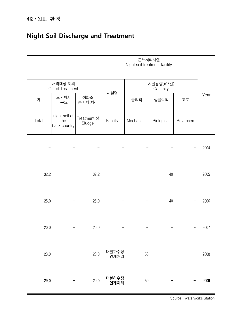## **Night Soil Discharge and Treatment**

|       |                                      |                        | 분뇨처리시설<br>Night soil treatment facility |            |                        |          |      |  |  |
|-------|--------------------------------------|------------------------|-----------------------------------------|------------|------------------------|----------|------|--|--|
|       |                                      |                        |                                         |            |                        |          |      |  |  |
|       | 처리대상 제외<br>Out of Treatment          |                        | 시설명                                     |            | 시설용량(m3/일)<br>Capacity |          |      |  |  |
| 계     | 오 · 벽지<br>분뇨                         | 정화조<br>등에서 처리          |                                         | 물리적        | 생물학적                   | 고도       | Year |  |  |
| Total | night soil of<br>the<br>back country | Treatment of<br>Sludge | Facility                                | Mechanical | Biological             | Advanced |      |  |  |
|       |                                      |                        |                                         |            |                        |          | 2004 |  |  |
| 32.2  |                                      | 32.2                   |                                         |            | 40                     |          | 2005 |  |  |
| 25.0  |                                      | 25.0                   |                                         |            | 40                     |          | 2006 |  |  |
| 20.0  |                                      | 20.0                   |                                         |            |                        |          | 2007 |  |  |
| 28.0  |                                      | 28.0                   | 대불하수장<br>연계처리                           | 50         |                        |          | 2008 |  |  |
| 29.0  |                                      | 29.0                   | 대불하수장<br>연계처리                           | $50\,$     |                        |          | 2009 |  |  |

Source : Waterworks Station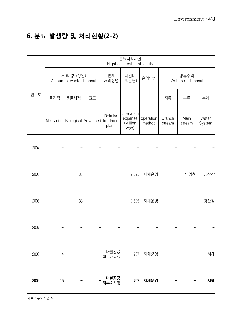## **6. 분뇨 발생량 및 처리현황(2-2)**

|                    | 분뇨처리시설<br>Night soil treatment facility |                                          |    |                    |                                          |                                                                                                             |                            |                 |     |  |
|--------------------|-----------------------------------------|------------------------------------------|----|--------------------|------------------------------------------|-------------------------------------------------------------------------------------------------------------|----------------------------|-----------------|-----|--|
|                    |                                         | 처 리 량(m3/일)<br>Amount of waste disposal  |    | 연계<br>처리장명         | 사업비<br>운영방법<br>(백만원)                     |                                                                                                             | 방류수역<br>Waters of disposal |                 |     |  |
| 연<br>도             | 물리적                                     | 생물학적                                     | 고도 |                    |                                          |                                                                                                             | 지류                         | 본류              | 수계  |  |
|                    |                                         | Mechanical Biological Advanced treatment |    | Relative<br>plants | Operation<br>expense<br>(Million<br>won) | operation<br><b>Branch</b><br>method<br>stream<br>2,525<br>자체운영<br>2,525<br>자체운영<br>707 자체운영<br>자체운영<br>707 | Main<br>stream             | Water<br>System |     |  |
| 2004               |                                         |                                          |    |                    |                                          |                                                                                                             |                            |                 |     |  |
| 2005               |                                         | 33                                       |    |                    |                                          |                                                                                                             |                            | 영암천             | 영산강 |  |
| 2006               |                                         | 33                                       |    |                    |                                          |                                                                                                             |                            |                 | 영산강 |  |
| 2007               |                                         |                                          |    |                    |                                          |                                                                                                             |                            |                 |     |  |
| 2008               | 14                                      |                                          |    | 대불공공<br>하수처리장      |                                          |                                                                                                             |                            |                 | 서해  |  |
| 2009<br>자료 : 수도사업소 | 15                                      |                                          |    | 대불공공<br>하수처리장      |                                          |                                                                                                             |                            |                 | 서해  |  |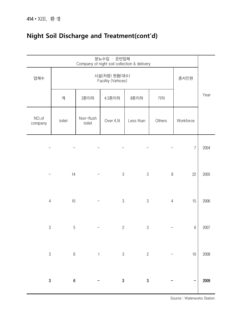## **Night Soil Discharge and Treatment(cont'd)**

|                  |                  |                          | 분뇨수집 · 운반업체                         | Company of night soil collection & delivery |                |                |      |
|------------------|------------------|--------------------------|-------------------------------------|---------------------------------------------|----------------|----------------|------|
| 업체수              |                  |                          | 시설(차량) 현황(대수)<br>Facility (Vehices) |                                             |                | 종사인원           |      |
|                  | 계                | 3톤이하                     | 4.5톤이하                              | 8톤이하                                        | 기타             |                | Year |
| NO.of<br>company | toilet           | Non-flush<br>toilet      | Over 4.5t                           | Less than                                   | Others         | Workforce      |      |
|                  |                  |                          |                                     |                                             |                | $\overline{7}$ | 2004 |
|                  | 14               |                          | $\mathfrak{Z}$                      | $\sqrt{3}$                                  | $\, 8$         | 22             | 2005 |
| $\sqrt{4}$       | $10\,$           |                          | $\mathfrak{Z}$                      | $\mathfrak 3$                               | $\overline{4}$ | 15             | 2006 |
| $\mathfrak 3$    | $\overline{5}$   | $\overline{\phantom{m}}$ | $\overline{c}$                      | $\sqrt{3}$                                  |                | $6\,$          | 2007 |
| $\,3$            | $6\phantom{.0}$  | $\overline{1}$           | $\mathfrak{Z}$                      | $\sqrt{2}$                                  |                | $10$           | 2008 |
| 3                | $\boldsymbol{6}$ |                          | $\boldsymbol{3}$                    | 3                                           |                |                | 2009 |

Source : Waterworks Station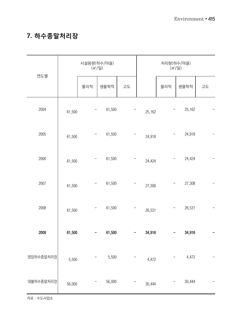## **7. 하수종말처리장**

|           |        |     | 시설용량(하수/마을)<br>(㎡/일) |    | 처리량(하수/마을)<br>(m3/일) |     |        |    |  |  |
|-----------|--------|-----|----------------------|----|----------------------|-----|--------|----|--|--|
| 연도별       |        | 물리적 | 생물학적                 | 고도 |                      | 물리적 | 생물학적   | 고도 |  |  |
| 2004      | 61,500 |     | 61,500               |    | 25,162               |     | 25,162 |    |  |  |
| 2005      | 61,500 |     | 61,500               |    | 24,918               |     | 24,918 |    |  |  |
| 2006      | 61,500 |     | 61,500               |    | 24,424               |     | 24,424 |    |  |  |
| 2007      | 61,500 |     | 61,500               |    | 27,308               |     | 27,308 |    |  |  |
| 2008      | 61,500 |     | 61,500               |    | 26,531               |     | 26,531 |    |  |  |
| 2009      | 61,500 | -   | 61,500               |    | 34,916               | -   | 34,916 |    |  |  |
| 영암하수종말처리장 | 5,500  |     | 5,500                |    | 4,472                |     | 4,472  |    |  |  |
| 대불하수종말처리장 | 56,000 |     | 56,000               |    | 30,444               |     | 30,444 |    |  |  |

자료 : 수도사업소